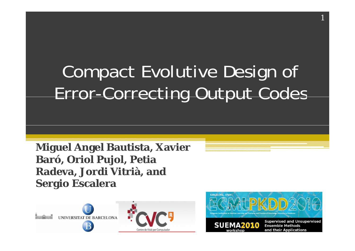### Compact Evolutive Design of Error-Correcting Output Codes

**Miguel Angel Bautista, Xavier Baró, Oriol Pujol, Petia Radeva, Jordi Vitrià, and Sergio Escalera**



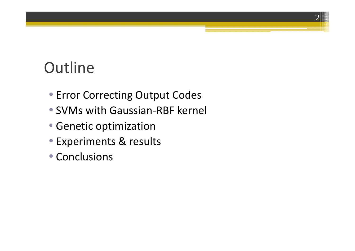### **Outline**

• Error Correcting Output Codes

- SVMs with Gaussian‐RBF kernel
- Genetic optimization
- Experiments & results
- Conclusions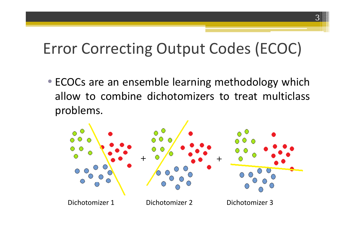### Error Correcting Output Codes (ECOC)

3

• ECOCs are an ensemble learning methodology which allow to combine dichotomizers to treat multiclass problems.

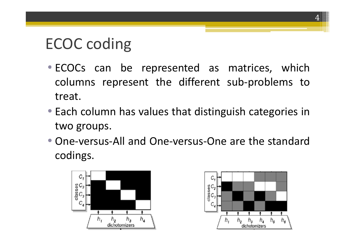### ECOC coding

- ECOCs can be represented as matrices, which columns represent the different sub‐problems to treat.
- Each column has values that distinguish categories in two groups.
- One-versus-All and One-versus-One are the standard codings.



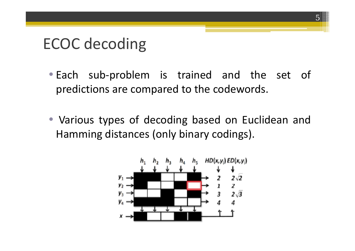### ECOC decoding

• Each sub‐problem is trained and the set of predictions are compared to the codewords.

5

• Various types of decoding based on Euclidean and Hamming distances (only binary codings).

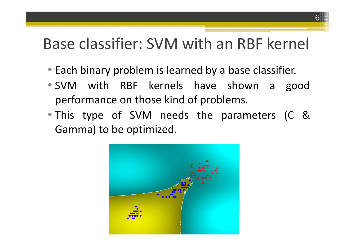#### Base classifier: SVM with an RBF kernel

- Each binary problem is learned by a base classifier.
- SVM with RBF kernels have shown <sup>a</sup> good performance on those kind of problems.
- This type of SVM needs the parameters (C & Gamma) to be optimized.

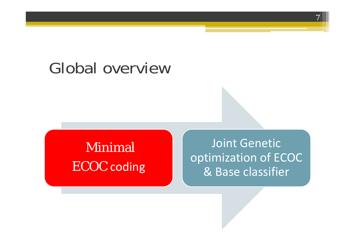### Global overview

## Minimal

 Joint Genetic ECOC coding and a posimization of ECOC<br>
a Base classifier & Base classifier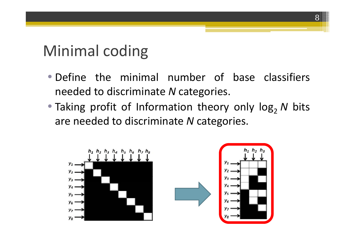### Minimal coding

• Define the minimal number of base classifiers needed to discriminate *N* cate gories.

8

• Taking profit of Information theory only log 2*N* bits are needed to discriminate *N* cate gories.

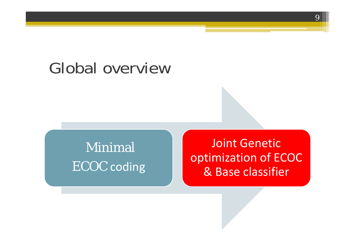### Global overview

### Minimal

 Joint Genetic ECOC coding **COC Reference COC COC** coding **COC** & Base classifier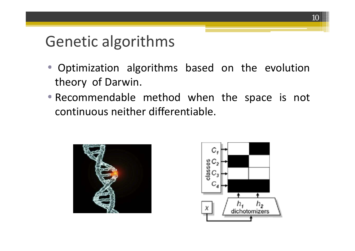### Genetic algorithms

- Optimization algorithms based on the evolution theory of Darwin.
- Recommendable method when the space is not continuous neither differentiable.



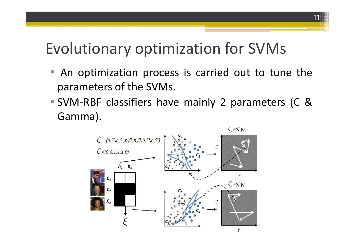### Evolutionary optimization for SVMs

 $\bullet$ • An optimization process is carried out to tune the parameters of the SVMs.

11

• SVM ‐RBF classifiers have mainly 2 parameters (C & Gamma).

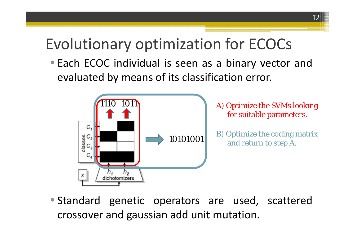### Evolutionary optimization for ECOCs

• Each ECOC individual is seen as <sup>a</sup> binary vector and evaluated by means of its classification error.



• Standard genetic operators are used, scattered crossover and gaussian add unit mutation.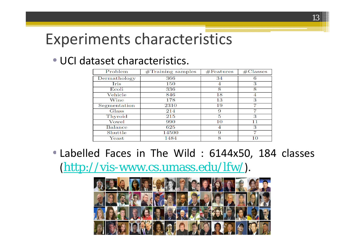### Experiments characteristics

#### • UCI dataset characteristics.

| $\overline{\text{Problem}}$ | $\sqrt{\text{Training}}$ samples | #Features | $\#\mathrm{Classes}$ |  |
|-----------------------------|----------------------------------|-----------|----------------------|--|
| Dermathology                | 366                              | 34        |                      |  |
| Iris                        | 150                              | 4         | 3                    |  |
| Ecoli                       | 336                              | 8         | 8                    |  |
| Vehicle                     | 846                              | 18        |                      |  |
| Wine                        | 178                              | 13        | 3                    |  |
| Segmentation                | 2310                             | 19        |                      |  |
| Glass                       | 214                              | 9         | 7                    |  |
| Thyroid                     | 215                              | 5         | З                    |  |
| Vowel                       | 990                              | 10        | 11                   |  |
| <b>Balance</b>              | 625                              |           | З                    |  |
| Shuttle                     | 14500                            | 9         |                      |  |
| $\rm Yeast$                 | 1484                             | 8         | 10                   |  |

• Labelled Faces in The Wild : 6144x50, 184 classes (http://vis-www.cs.umass.edu/lfw/).

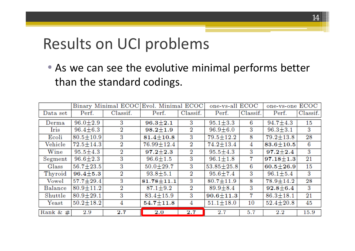### Results on UCI problems

• As we can see the evolutive minimal performs better than the standard codings.

|                |                 | Evol. Minimal ECOC<br>Binary Minimal ECOC |                  | one-vs-all ECOC  |                  | one-vs-one ECOC |                 |                 |
|----------------|-----------------|-------------------------------------------|------------------|------------------|------------------|-----------------|-----------------|-----------------|
| Data set       | Perf.           | Classif.                                  | Perf.            | Classif.         | Perf.            | Classif.        | Perf.           | Classif.        |
| Derman         | $96.0 \pm 2.9$  | 3                                         | $96.3 \pm 2.1$   | 3                | $95.1 \pm 3.3$   | 6               | $94.7 \pm 4.3$  | 15              |
| Iris           | $96.4 \pm 6.3$  | $\overline{2}$                            | $98.2 \pm 1.9$   | $\overline{2}$   | $96.9 \pm 6.0$   | 3               | $96.3 \pm 3.1$  | 3               |
| Ecoli          | $80.5 \pm 10.9$ | 3                                         | $81.4 \pm 10.8$  | 3                | $79.5 \pm 12.2$  | 8               | $79.2 \pm 13.8$ | $\overline{28}$ |
| Vehicle        | $72.5 \pm 14.3$ | 2                                         | $76.99 \pm 12.4$ | $\boldsymbol{2}$ | $74.2 \pm 13.4$  | 4               | $83.6 \pm 10.5$ | 6               |
| Wine           | $95.5 \pm 4.3$  | $\overline{2}$                            | $97.2 + 2.3$     | $\overline{2}$   | $95.5 \pm 4.3$   | 3               | $97.2 \pm 2.4$  | 3               |
| Segment        | $96.6 \pm 2.3$  | 3                                         | $96.6 \pm 1.5$   | 3                | $96.1 \pm 1.8$   | 7               | $97.18 \pm 1.3$ | $^{21}$         |
| $_{\rm Glass}$ | $56.7 \pm 23.5$ | 3                                         | $50.0 \pm 29.7$  | 3                | $53.85 \pm 25.8$ | 6               | $60.5 \pm 26.9$ | 15              |
| Thyroid        | $96.4 \pm 5.3$  | $\rm{_{2}}$                               | $93.8 \pm 5.1$   | $\overline{2}$   | $95.6 \pm 7.4$   | 3               | $96.1 \pm 5.4$  | 3               |
| Vowel          | $57.7 \pm 29.4$ | 3                                         | $81.78 \pm 11.1$ | 3                | $80.7 \pm 11.9$  | 8               | $78.9 \pm 14.2$ | 28              |
| Balance        | $80.9 \pm 11.2$ | $\overline{2}$                            | $87.1 \pm 9.2$   | $\overline{2}$   | $89.9 \pm 8.4$   | 3               | $92.8 \pm 6.4$  | 3               |
| Shuttle        | $80.9 \pm 29.1$ | 3                                         | $83.4 \pm 15.9$  | 3                | $90.6 \pm 11.3$  | 7               | $86.3 \pm 18.1$ | $^{21}$         |
| $\rm Yeast$    | $50.2 \pm 18.2$ | 4                                         | $54.7 \pm 11.8$  | 4                | $51.1 \pm 18.0$  | 10              | $52.4 \pm 20.8$ | 45              |
| Rank & $#$     | $2.9\,$         | $\bf 2.7$                                 | $\bf 2.0$        | 2.7              | $2.7\,$          | 5.7             | $2.2\,$         | 15.9            |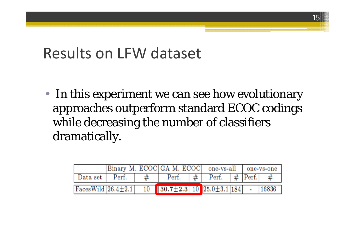Results on LFW dataset

• In this experiment we can see how evolutionary approaches outperform standard ECOC codings while decreasing the number of classifiers dramatically.

|                                                                               | Binary M. ECOC GA M. ECOC   one-vs-all   one-vs-one |  |              |                  |                         |  |  |       |
|-------------------------------------------------------------------------------|-----------------------------------------------------|--|--------------|------------------|-------------------------|--|--|-------|
| Data set Perf.                                                                |                                                     |  | $\rm{Perf.}$ | $\vert \# \vert$ | Perf. $#$   Perf.   $#$ |  |  |       |
| $\sqrt{36.4 \pm 2.1}$ 10 $\sqrt{30.7 \pm 2.3}$ 10 $\sqrt{25.0 \pm 3.1}$ 184 - |                                                     |  |              |                  |                         |  |  | 16836 |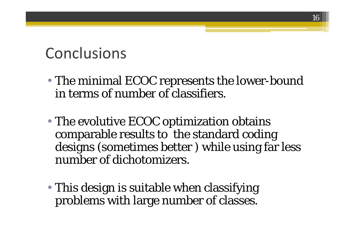### Conclusions

• The minimal ECOC represents the lower-bound in terms of number of classifiers.

- The evolutive ECOC optimization obtains comparable results to the standard coding designs (sometimes better ) while using far less number of dichotomizers.
- This design is suitable when classifying problems with large number of classes.